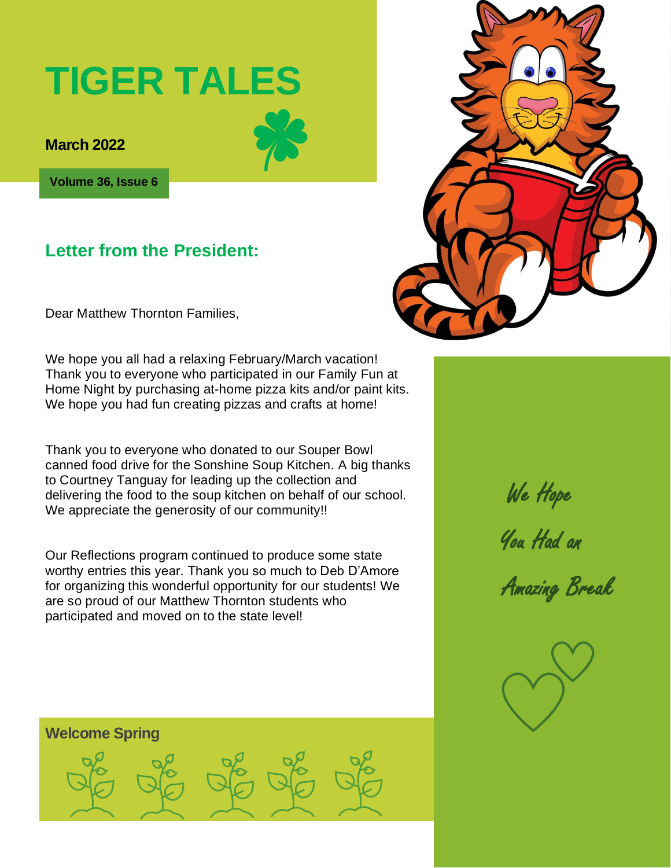# **TIGER TALES**

**March 2022** 

**Volume 36, Issue 6**

### **Letter from the President:**

Dear Matthew Thornton Families,

We hope you all had a relaxing February/March vacation! Thank you to everyone who participated in our Family Fun at Home Night by purchasing at-home pizza kits and/or paint kits. We hope you had fun creating pizzas and crafts at home!

Thank you to everyone who donated to our Souper Bowl canned food drive for the Sonshine Soup Kitchen. A big thanks to Courtney Tanguay for leading up the collection and delivering the food to the soup kitchen on behalf of our school. We appreciate the generosity of our community!!

Our Reflections program continued to produce some state worthy entries this year. Thank you so much to Deb D'Amore for organizing this wonderful opportunity for our students! We are so proud of our Matthew Thornton students who participated and moved on to the state level!



 We Hope You Had an

Amazing Break



#### **Welcome Spring**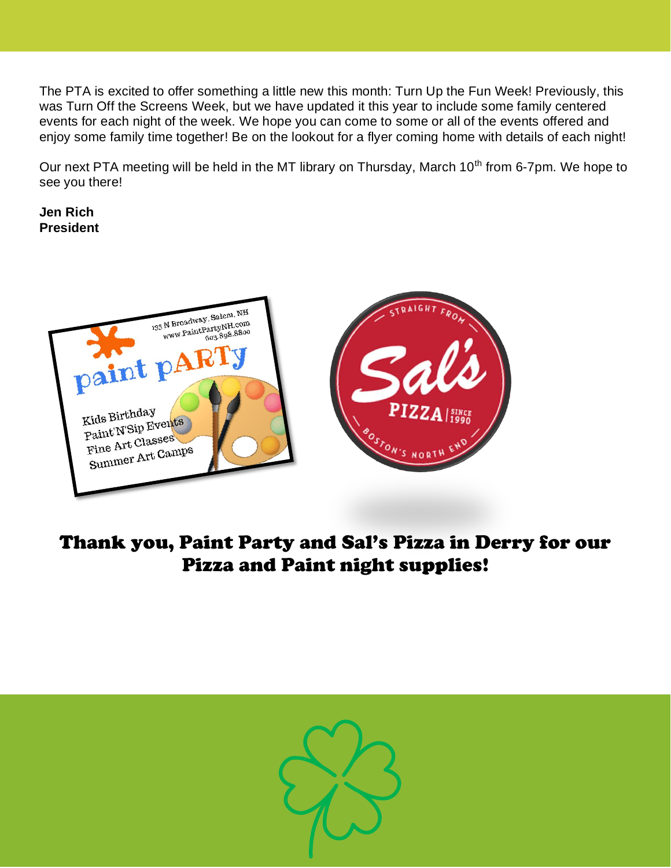The PTA is excited to offer something a little new this month: Turn Up the Fun Week! Previously, this was Turn Off the Screens Week, but we have updated it this year to include some family centered events for each night of the week. We hope you can come to some or all of the events offered and enjoy some family time together! Be on the lookout for a flyer coming home with details of each night!

Our next PTA meeting will be held in the MT library on Thursday, March 10<sup>th</sup> from 6-7pm. We hope to see you there!

**Jen Rich President**



### Thank you, Paint Party and Sal's Pizza in Derry for our Pizza and Paint night supplies!

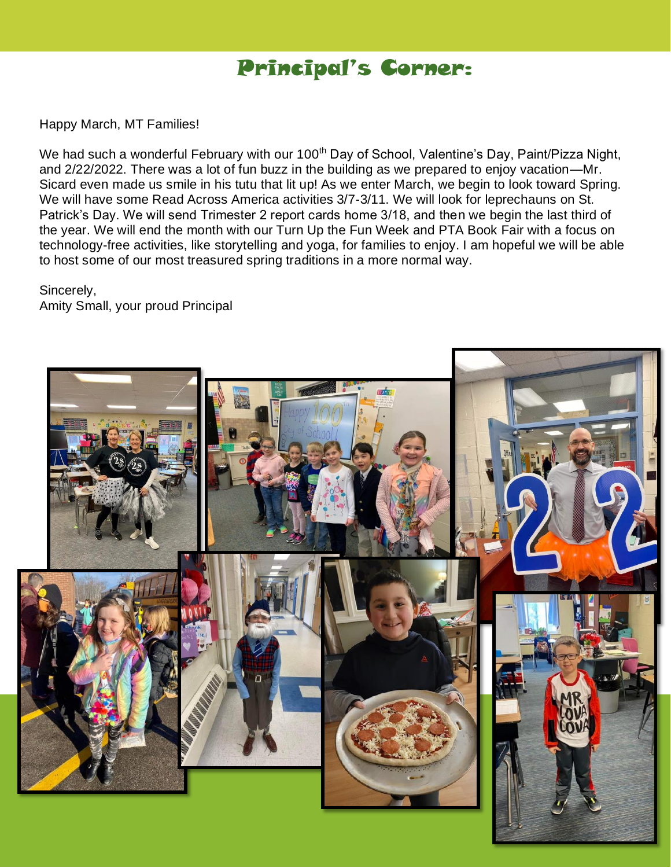## Principal's Corner:

Happy March, MT Families!

We had such a wonderful February with our 100<sup>th</sup> Day of School, Valentine's Day, Paint/Pizza Night, and 2/22/2022. There was a lot of fun buzz in the building as we prepared to enjoy vacation—Mr. Sicard even made us smile in his tutu that lit up! As we enter March, we begin to look toward Spring. We will have some Read Across America activities 3/7-3/11. We will look for leprechauns on St. Patrick's Day. We will send Trimester 2 report cards home 3/18, and then we begin the last third of the year. We will end the month with our Turn Up the Fun Week and PTA Book Fair with a focus on technology-free activities, like storytelling and yoga, for families to enjoy. I am hopeful we will be able to host some of our most treasured spring traditions in a more normal way.

Sincerely, Amity Small, your proud Principal

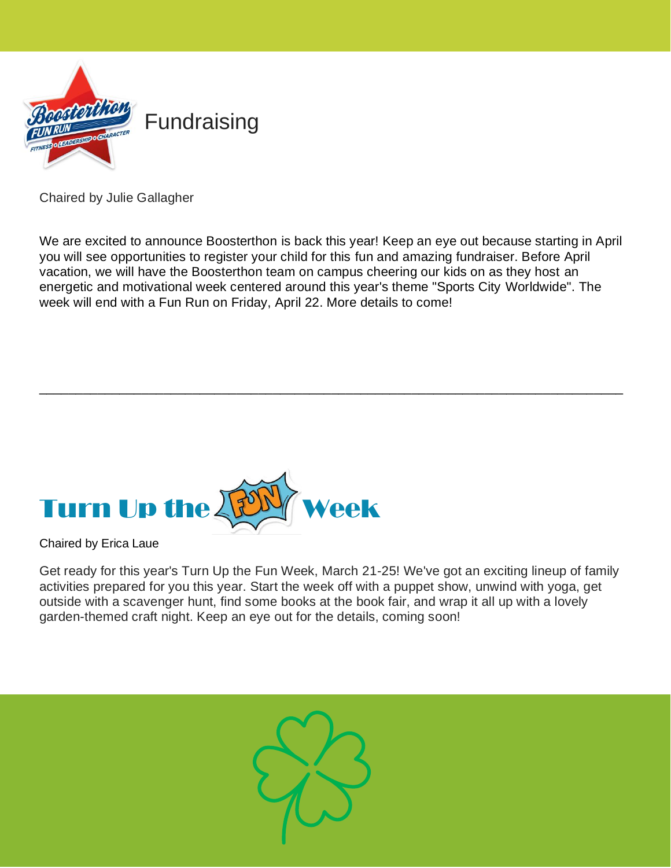

Chaired by Julie Gallagher

We are excited to announce Boosterthon is back this year! Keep an eye out because starting in April you will see opportunities to register your child for this fun and amazing fundraiser. Before April vacation, we will have the Boosterthon team on campus cheering our kids on as they host an energetic and motivational week centered around this year's theme "Sports City Worldwide". The week will end with a Fun Run on Friday, April 22. More details to come!

\_\_\_\_\_\_\_\_\_\_\_\_\_\_\_\_\_\_\_\_\_\_\_\_\_\_\_\_\_\_\_\_\_\_\_\_\_\_\_\_\_\_\_\_\_\_\_\_\_\_\_\_\_\_\_\_\_\_\_\_\_\_\_\_\_\_\_\_\_\_\_\_\_\_\_\_\_\_\_\_



Chaired by Erica Laue

Get ready for this year's Turn Up the Fun Week, March 21-25! We've got an exciting lineup of family activities prepared for you this year. Start the week off with a puppet show, unwind with yoga, get outside with a scavenger hunt, find some books at the book fair, and wrap it all up with a lovely garden-themed craft night. Keep an eye out for the details, coming soon!

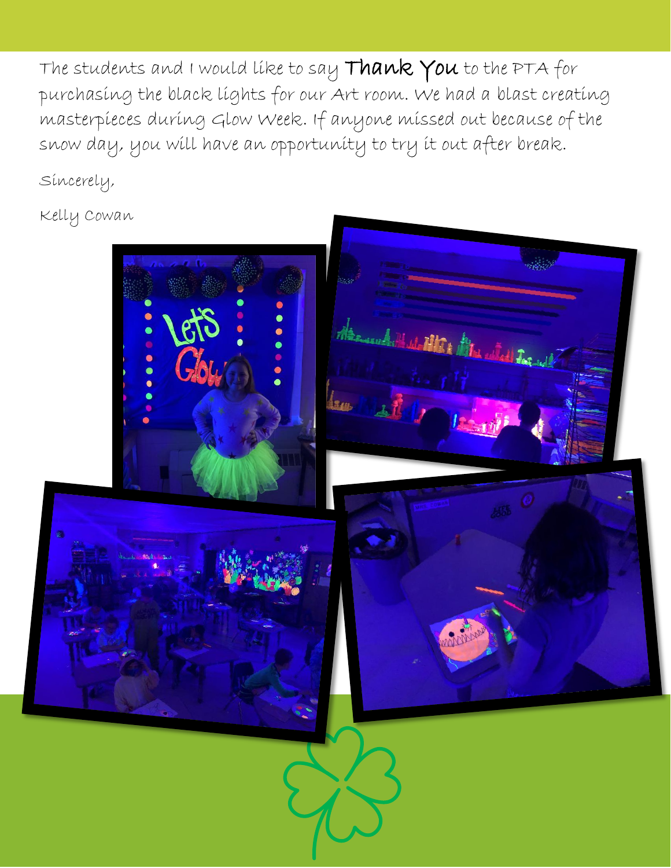The students and I would like to say Thank You to the PTA for purchasing the black lights for our Art room. We had a blast creating masterpieces during Glow Week. If anyone missed out because of the snow day, you will have an opportunity to try it out after break.

Sincerely,

Kelly Cowan